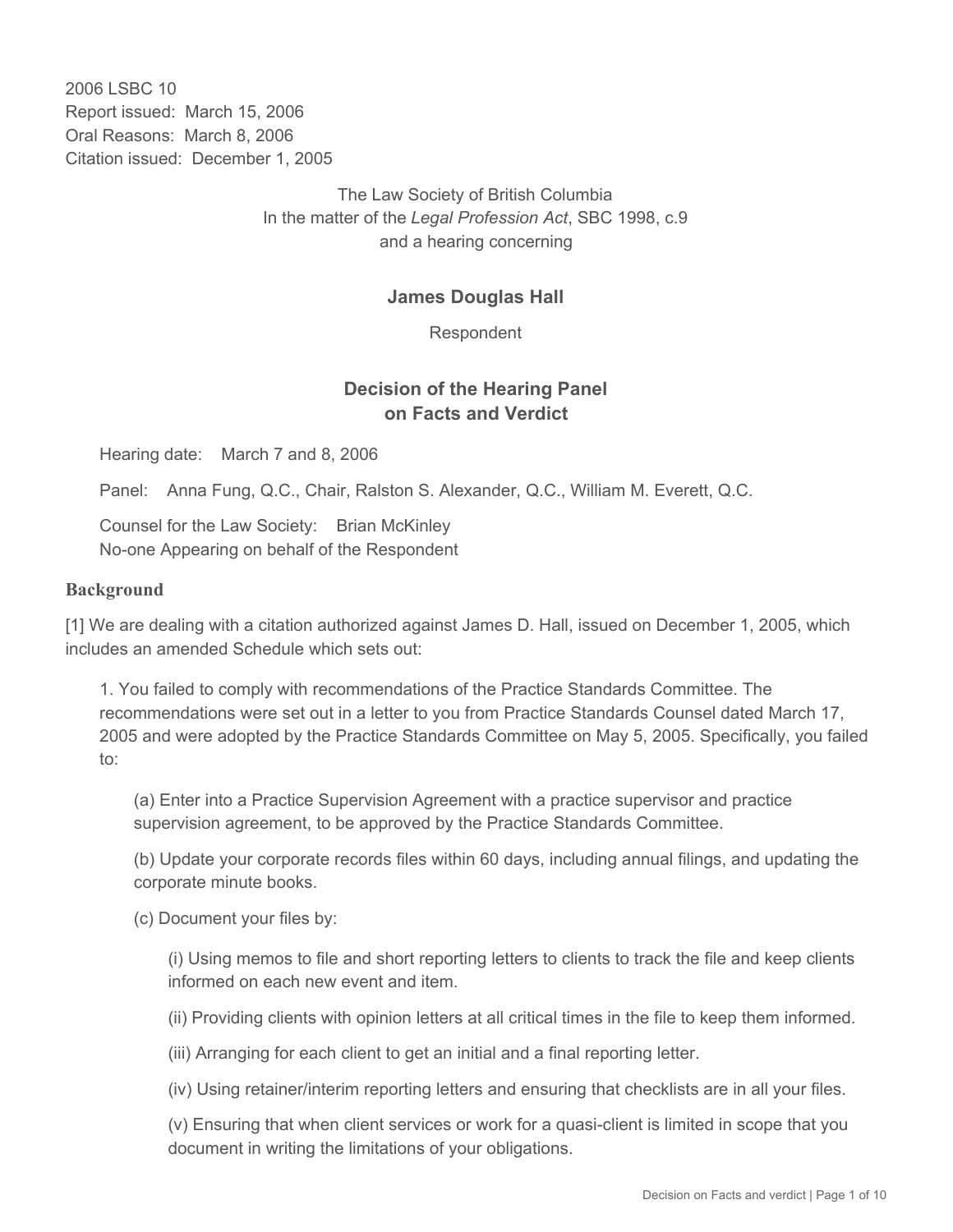2006 LSBC 10 Report issued: March 15, 2006 Oral Reasons: March 8, 2006 Citation issued: December 1, 2005

> The Law Society of British Columbia In the matter of the *Legal Profession Act*, SBC 1998, c.9 and a hearing concerning

#### **James Douglas Hall**

Respondent

## **Decision of the Hearing Panel on Facts and Verdict**

Hearing date: March 7 and 8, 2006

Panel: Anna Fung, Q.C., Chair, Ralston S. Alexander, Q.C., William M. Everett, Q.C.

Counsel for the Law Society: Brian McKinley No-one Appearing on behalf of the Respondent

#### **Background**

[1] We are dealing with a citation authorized against James D. Hall, issued on December 1, 2005, which includes an amended Schedule which sets out:

1. You failed to comply with recommendations of the Practice Standards Committee. The recommendations were set out in a letter to you from Practice Standards Counsel dated March 17, 2005 and were adopted by the Practice Standards Committee on May 5, 2005. Specifically, you failed to:

(a) Enter into a Practice Supervision Agreement with a practice supervisor and practice supervision agreement, to be approved by the Practice Standards Committee.

(b) Update your corporate records files within 60 days, including annual filings, and updating the corporate minute books.

(c) Document your files by:

(i) Using memos to file and short reporting letters to clients to track the file and keep clients informed on each new event and item.

(ii) Providing clients with opinion letters at all critical times in the file to keep them informed.

(iii) Arranging for each client to get an initial and a final reporting letter.

(iv) Using retainer/interim reporting letters and ensuring that checklists are in all your files.

(v) Ensuring that when client services or work for a quasi-client is limited in scope that you document in writing the limitations of your obligations.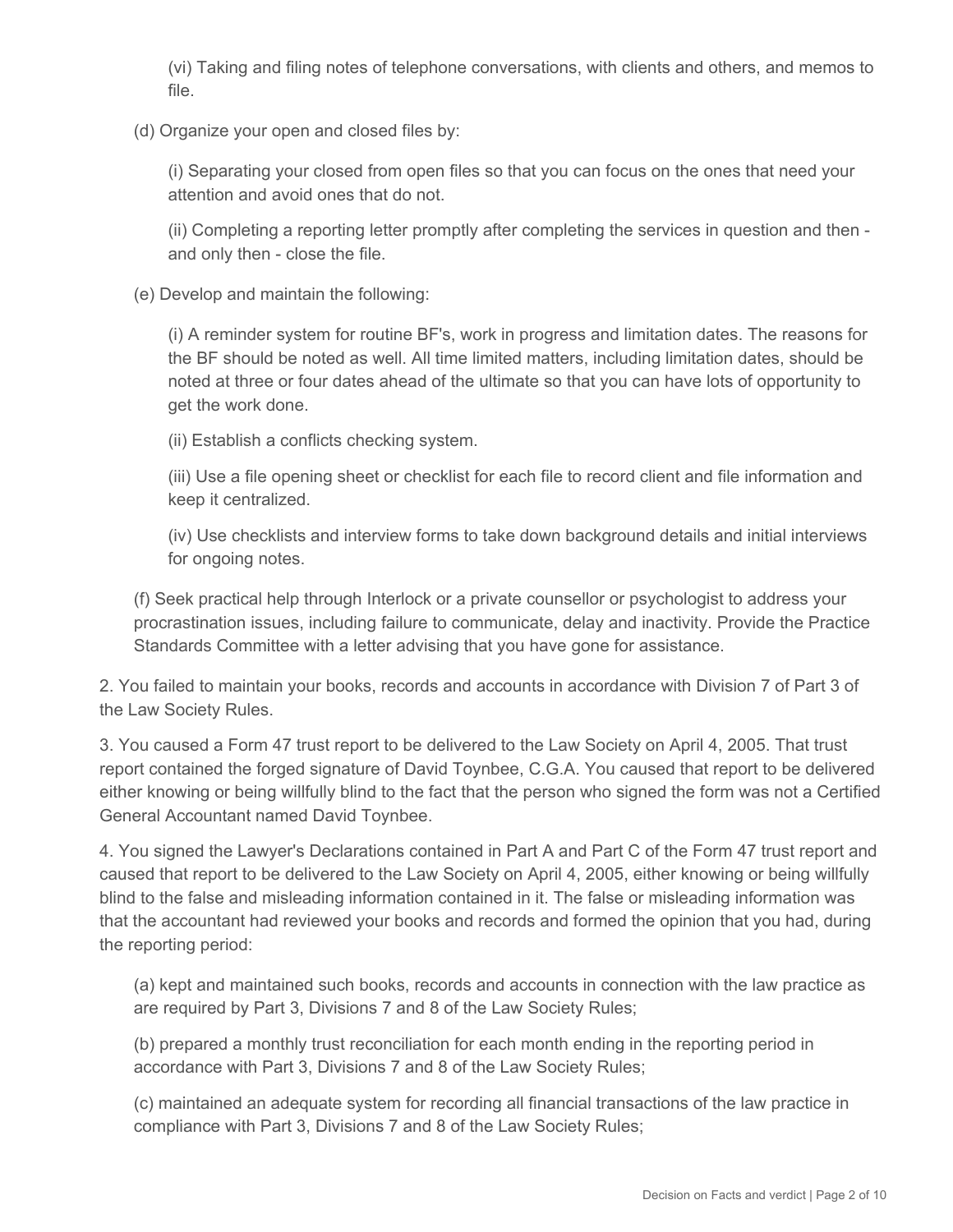(vi) Taking and filing notes of telephone conversations, with clients and others, and memos to file.

(d) Organize your open and closed files by:

(i) Separating your closed from open files so that you can focus on the ones that need your attention and avoid ones that do not.

(ii) Completing a reporting letter promptly after completing the services in question and then and only then - close the file.

(e) Develop and maintain the following:

(i) A reminder system for routine BF's, work in progress and limitation dates. The reasons for the BF should be noted as well. All time limited matters, including limitation dates, should be noted at three or four dates ahead of the ultimate so that you can have lots of opportunity to get the work done.

(ii) Establish a conflicts checking system.

(iii) Use a file opening sheet or checklist for each file to record client and file information and keep it centralized.

(iv) Use checklists and interview forms to take down background details and initial interviews for ongoing notes.

(f) Seek practical help through Interlock or a private counsellor or psychologist to address your procrastination issues, including failure to communicate, delay and inactivity. Provide the Practice Standards Committee with a letter advising that you have gone for assistance.

2. You failed to maintain your books, records and accounts in accordance with Division 7 of Part 3 of the Law Society Rules.

3. You caused a Form 47 trust report to be delivered to the Law Society on April 4, 2005. That trust report contained the forged signature of David Toynbee, C.G.A. You caused that report to be delivered either knowing or being willfully blind to the fact that the person who signed the form was not a Certified General Accountant named David Toynbee.

4. You signed the Lawyer's Declarations contained in Part A and Part C of the Form 47 trust report and caused that report to be delivered to the Law Society on April 4, 2005, either knowing or being willfully blind to the false and misleading information contained in it. The false or misleading information was that the accountant had reviewed your books and records and formed the opinion that you had, during the reporting period:

(a) kept and maintained such books, records and accounts in connection with the law practice as are required by Part 3, Divisions 7 and 8 of the Law Society Rules;

(b) prepared a monthly trust reconciliation for each month ending in the reporting period in accordance with Part 3, Divisions 7 and 8 of the Law Society Rules;

(c) maintained an adequate system for recording all financial transactions of the law practice in compliance with Part 3, Divisions 7 and 8 of the Law Society Rules;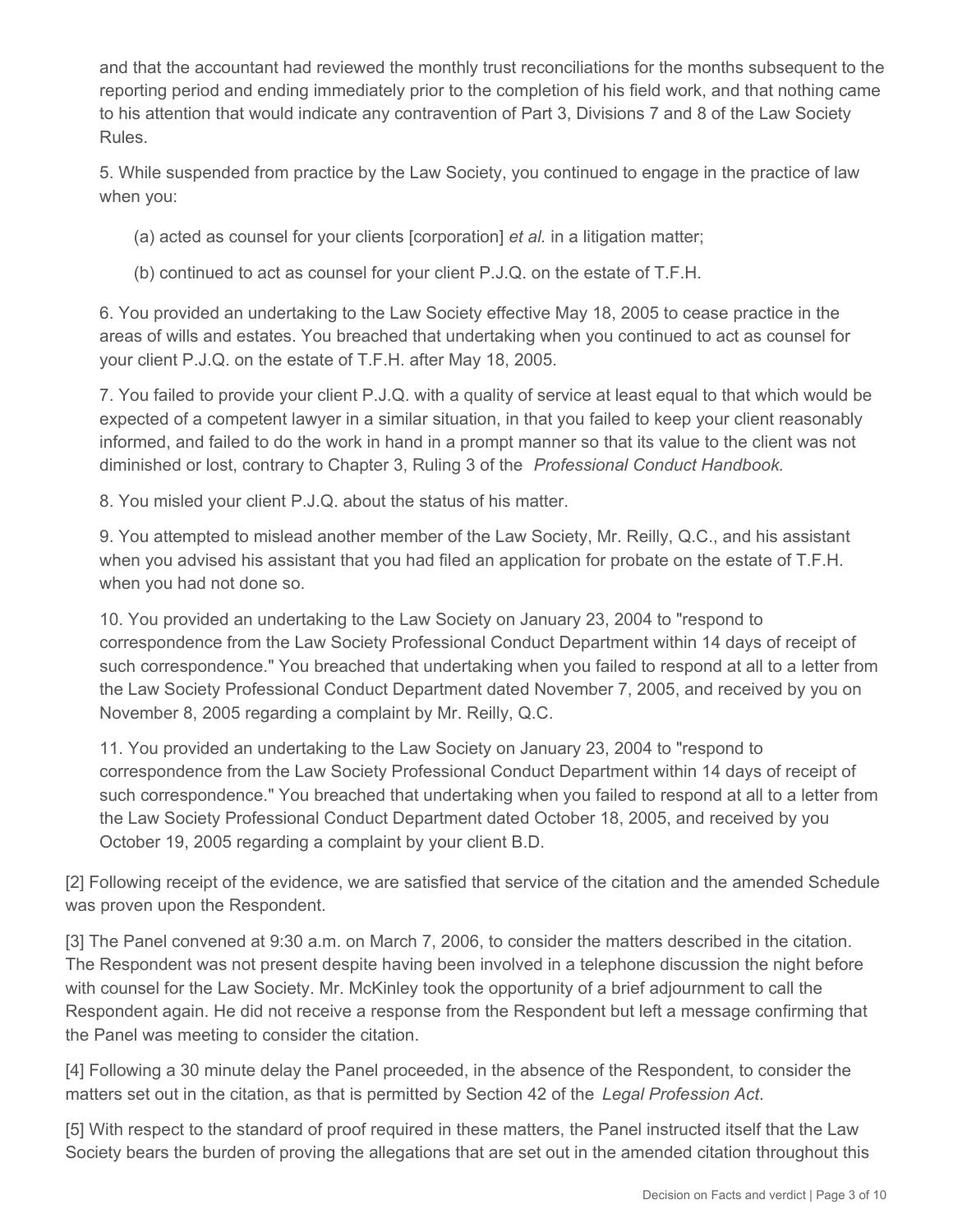and that the accountant had reviewed the monthly trust reconciliations for the months subsequent to the reporting period and ending immediately prior to the completion of his field work, and that nothing came to his attention that would indicate any contravention of Part 3, Divisions 7 and 8 of the Law Society Rules.

5. While suspended from practice by the Law Society, you continued to engage in the practice of law when you:

(a) acted as counsel for your clients [corporation] *et al.* in a litigation matter;

(b) continued to act as counsel for your client P.J.Q. on the estate of T.F.H.

6. You provided an undertaking to the Law Society effective May 18, 2005 to cease practice in the areas of wills and estates. You breached that undertaking when you continued to act as counsel for your client P.J.Q. on the estate of T.F.H. after May 18, 2005.

7. You failed to provide your client P.J.Q. with a quality of service at least equal to that which would be expected of a competent lawyer in a similar situation, in that you failed to keep your client reasonably informed, and failed to do the work in hand in a prompt manner so that its value to the client was not diminished or lost, contrary to Chapter 3, Ruling 3 of the *Professional Conduct Handbook.*

8. You misled your client P.J.Q. about the status of his matter.

9. You attempted to mislead another member of the Law Society, Mr. Reilly, Q.C., and his assistant when you advised his assistant that you had filed an application for probate on the estate of T.F.H. when you had not done so.

10. You provided an undertaking to the Law Society on January 23, 2004 to "respond to correspondence from the Law Society Professional Conduct Department within 14 days of receipt of such correspondence." You breached that undertaking when you failed to respond at all to a letter from the Law Society Professional Conduct Department dated November 7, 2005, and received by you on November 8, 2005 regarding a complaint by Mr. Reilly, Q.C.

11. You provided an undertaking to the Law Society on January 23, 2004 to "respond to correspondence from the Law Society Professional Conduct Department within 14 days of receipt of such correspondence." You breached that undertaking when you failed to respond at all to a letter from the Law Society Professional Conduct Department dated October 18, 2005, and received by you October 19, 2005 regarding a complaint by your client B.D.

[2] Following receipt of the evidence, we are satisfied that service of the citation and the amended Schedule was proven upon the Respondent.

[3] The Panel convened at 9:30 a.m. on March 7, 2006, to consider the matters described in the citation. The Respondent was not present despite having been involved in a telephone discussion the night before with counsel for the Law Society. Mr. McKinley took the opportunity of a brief adjournment to call the Respondent again. He did not receive a response from the Respondent but left a message confirming that the Panel was meeting to consider the citation.

[4] Following a 30 minute delay the Panel proceeded, in the absence of the Respondent, to consider the matters set out in the citation, as that is permitted by Section 42 of the *Legal Profession Act*.

[5] With respect to the standard of proof required in these matters, the Panel instructed itself that the Law Society bears the burden of proving the allegations that are set out in the amended citation throughout this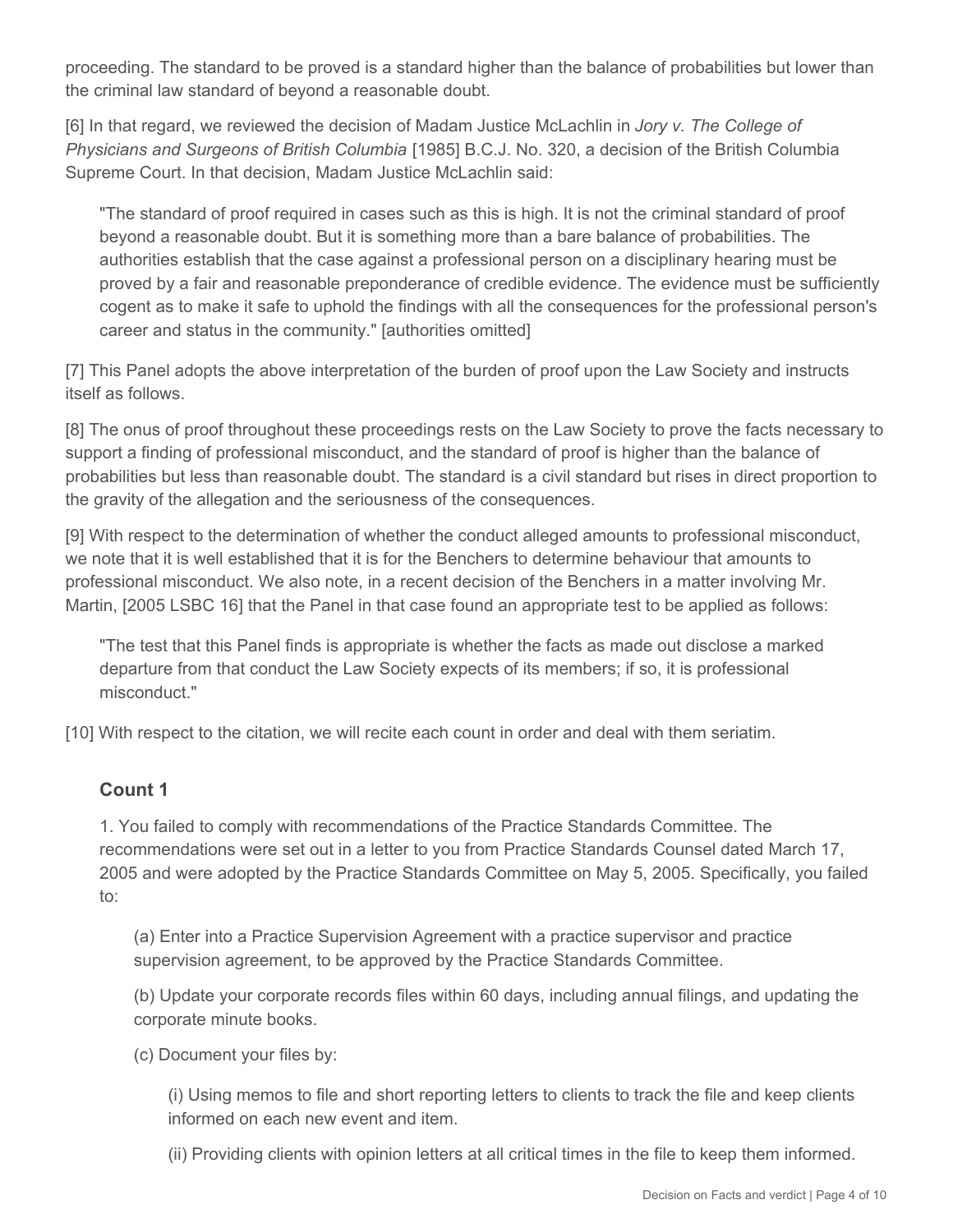proceeding. The standard to be proved is a standard higher than the balance of probabilities but lower than the criminal law standard of beyond a reasonable doubt.

[6] In that regard, we reviewed the decision of Madam Justice McLachlin in *Jory v. The College of Physicians and Surgeons of British Columbia* [1985] B.C.J. No. 320, a decision of the British Columbia Supreme Court. In that decision, Madam Justice McLachlin said:

"The standard of proof required in cases such as this is high. It is not the criminal standard of proof beyond a reasonable doubt. But it is something more than a bare balance of probabilities. The authorities establish that the case against a professional person on a disciplinary hearing must be proved by a fair and reasonable preponderance of credible evidence. The evidence must be sufficiently cogent as to make it safe to uphold the findings with all the consequences for the professional person's career and status in the community." [authorities omitted]

[7] This Panel adopts the above interpretation of the burden of proof upon the Law Society and instructs itself as follows.

[8] The onus of proof throughout these proceedings rests on the Law Society to prove the facts necessary to support a finding of professional misconduct, and the standard of proof is higher than the balance of probabilities but less than reasonable doubt. The standard is a civil standard but rises in direct proportion to the gravity of the allegation and the seriousness of the consequences.

[9] With respect to the determination of whether the conduct alleged amounts to professional misconduct, we note that it is well established that it is for the Benchers to determine behaviour that amounts to professional misconduct. We also note, in a recent decision of the Benchers in a matter involving Mr. Martin, [2005 LSBC 16] that the Panel in that case found an appropriate test to be applied as follows:

"The test that this Panel finds is appropriate is whether the facts as made out disclose a marked departure from that conduct the Law Society expects of its members; if so, it is professional misconduct."

[10] With respect to the citation, we will recite each count in order and deal with them seriatim.

#### **Count 1**

1. You failed to comply with recommendations of the Practice Standards Committee. The recommendations were set out in a letter to you from Practice Standards Counsel dated March 17, 2005 and were adopted by the Practice Standards Committee on May 5, 2005. Specifically, you failed to:

(a) Enter into a Practice Supervision Agreement with a practice supervisor and practice supervision agreement, to be approved by the Practice Standards Committee.

(b) Update your corporate records files within 60 days, including annual filings, and updating the corporate minute books.

(c) Document your files by:

(i) Using memos to file and short reporting letters to clients to track the file and keep clients informed on each new event and item.

(ii) Providing clients with opinion letters at all critical times in the file to keep them informed.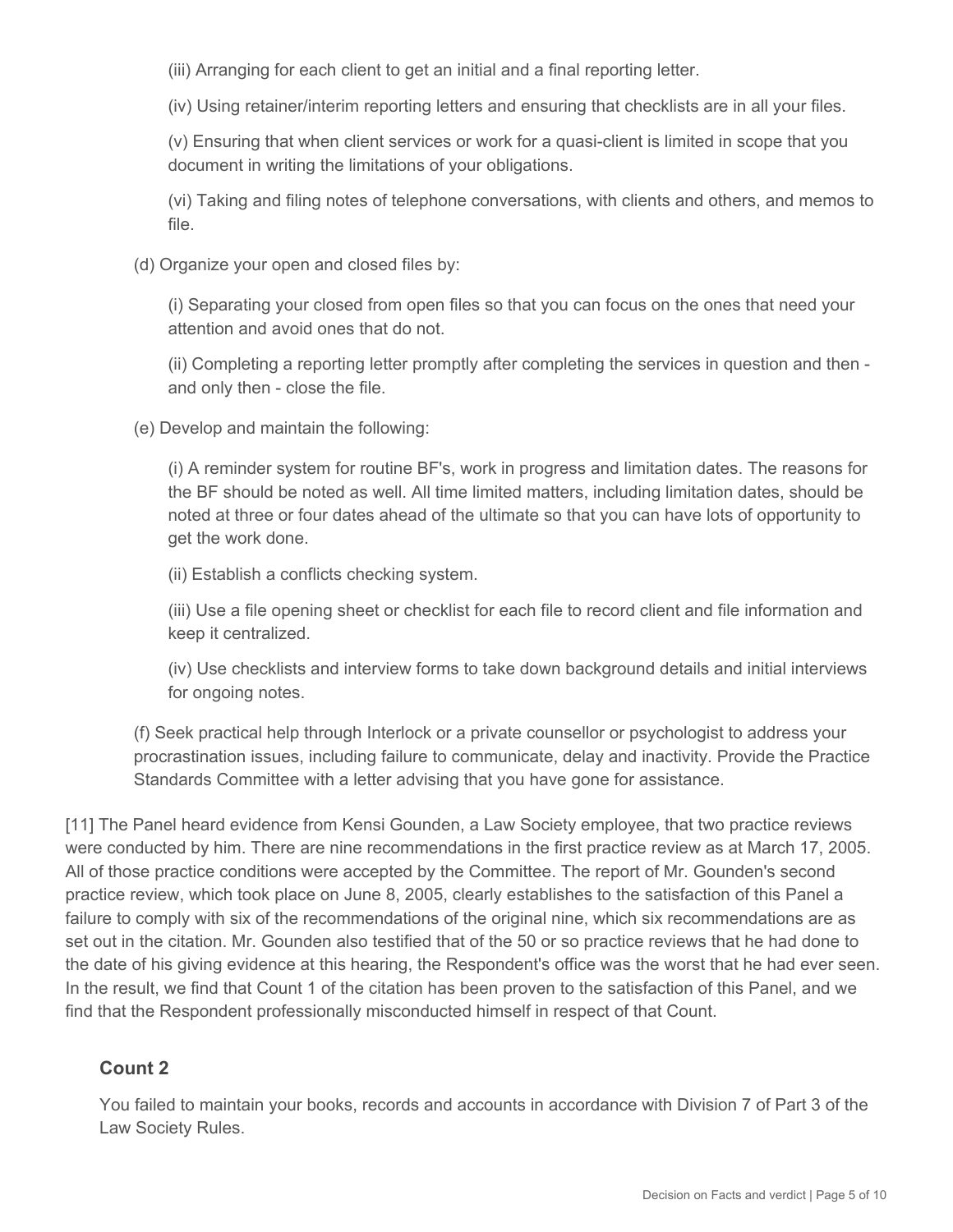(iii) Arranging for each client to get an initial and a final reporting letter.

(iv) Using retainer/interim reporting letters and ensuring that checklists are in all your files.

(v) Ensuring that when client services or work for a quasi-client is limited in scope that you document in writing the limitations of your obligations.

(vi) Taking and filing notes of telephone conversations, with clients and others, and memos to file.

(d) Organize your open and closed files by:

(i) Separating your closed from open files so that you can focus on the ones that need your attention and avoid ones that do not.

(ii) Completing a reporting letter promptly after completing the services in question and then and only then - close the file.

(e) Develop and maintain the following:

(i) A reminder system for routine BF's, work in progress and limitation dates. The reasons for the BF should be noted as well. All time limited matters, including limitation dates, should be noted at three or four dates ahead of the ultimate so that you can have lots of opportunity to get the work done.

(ii) Establish a conflicts checking system.

(iii) Use a file opening sheet or checklist for each file to record client and file information and keep it centralized.

(iv) Use checklists and interview forms to take down background details and initial interviews for ongoing notes.

(f) Seek practical help through Interlock or a private counsellor or psychologist to address your procrastination issues, including failure to communicate, delay and inactivity. Provide the Practice Standards Committee with a letter advising that you have gone for assistance.

[11] The Panel heard evidence from Kensi Gounden, a Law Society employee, that two practice reviews were conducted by him. There are nine recommendations in the first practice review as at March 17, 2005. All of those practice conditions were accepted by the Committee. The report of Mr. Gounden's second practice review, which took place on June 8, 2005, clearly establishes to the satisfaction of this Panel a failure to comply with six of the recommendations of the original nine, which six recommendations are as set out in the citation. Mr. Gounden also testified that of the 50 or so practice reviews that he had done to the date of his giving evidence at this hearing, the Respondent's office was the worst that he had ever seen. In the result, we find that Count 1 of the citation has been proven to the satisfaction of this Panel, and we find that the Respondent professionally misconducted himself in respect of that Count.

# **Count 2**

You failed to maintain your books, records and accounts in accordance with Division 7 of Part 3 of the Law Society Rules.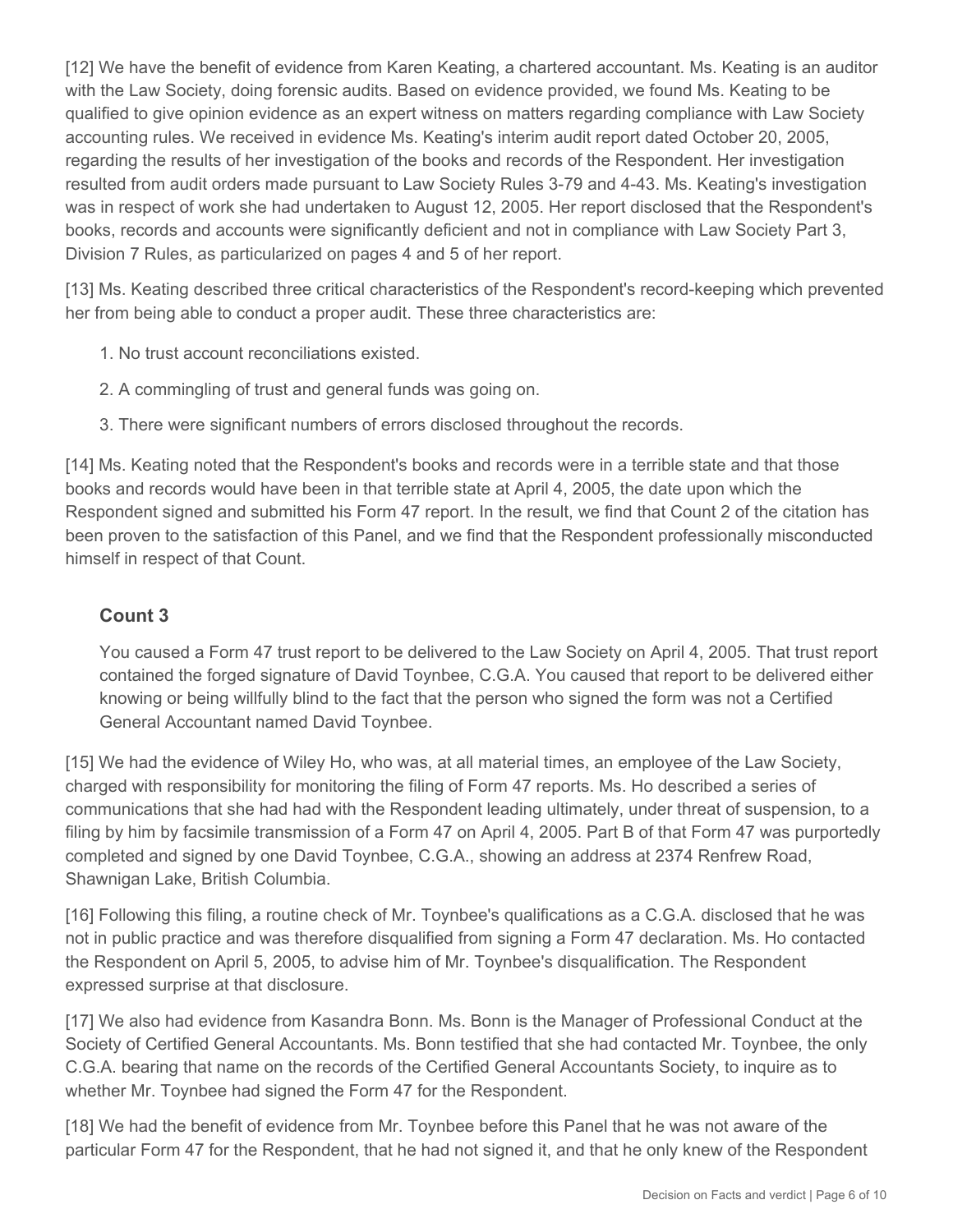[12] We have the benefit of evidence from Karen Keating, a chartered accountant. Ms. Keating is an auditor with the Law Society, doing forensic audits. Based on evidence provided, we found Ms. Keating to be qualified to give opinion evidence as an expert witness on matters regarding compliance with Law Society accounting rules. We received in evidence Ms. Keating's interim audit report dated October 20, 2005, regarding the results of her investigation of the books and records of the Respondent. Her investigation resulted from audit orders made pursuant to Law Society Rules 3-79 and 4-43. Ms. Keating's investigation was in respect of work she had undertaken to August 12, 2005. Her report disclosed that the Respondent's books, records and accounts were significantly deficient and not in compliance with Law Society Part 3, Division 7 Rules, as particularized on pages 4 and 5 of her report.

[13] Ms. Keating described three critical characteristics of the Respondent's record-keeping which prevented her from being able to conduct a proper audit. These three characteristics are:

- 1. No trust account reconciliations existed.
- 2. A commingling of trust and general funds was going on.
- 3. There were significant numbers of errors disclosed throughout the records.

[14] Ms. Keating noted that the Respondent's books and records were in a terrible state and that those books and records would have been in that terrible state at April 4, 2005, the date upon which the Respondent signed and submitted his Form 47 report. In the result, we find that Count 2 of the citation has been proven to the satisfaction of this Panel, and we find that the Respondent professionally misconducted himself in respect of that Count.

## **Count 3**

You caused a Form 47 trust report to be delivered to the Law Society on April 4, 2005. That trust report contained the forged signature of David Toynbee, C.G.A. You caused that report to be delivered either knowing or being willfully blind to the fact that the person who signed the form was not a Certified General Accountant named David Toynbee.

[15] We had the evidence of Wiley Ho, who was, at all material times, an employee of the Law Society, charged with responsibility for monitoring the filing of Form 47 reports. Ms. Ho described a series of communications that she had had with the Respondent leading ultimately, under threat of suspension, to a filing by him by facsimile transmission of a Form 47 on April 4, 2005. Part B of that Form 47 was purportedly completed and signed by one David Toynbee, C.G.A., showing an address at 2374 Renfrew Road, Shawnigan Lake, British Columbia.

[16] Following this filing, a routine check of Mr. Toynbee's qualifications as a C.G.A. disclosed that he was not in public practice and was therefore disqualified from signing a Form 47 declaration. Ms. Ho contacted the Respondent on April 5, 2005, to advise him of Mr. Toynbee's disqualification. The Respondent expressed surprise at that disclosure.

[17] We also had evidence from Kasandra Bonn. Ms. Bonn is the Manager of Professional Conduct at the Society of Certified General Accountants. Ms. Bonn testified that she had contacted Mr. Toynbee, the only C.G.A. bearing that name on the records of the Certified General Accountants Society, to inquire as to whether Mr. Toynbee had signed the Form 47 for the Respondent.

[18] We had the benefit of evidence from Mr. Toynbee before this Panel that he was not aware of the particular Form 47 for the Respondent, that he had not signed it, and that he only knew of the Respondent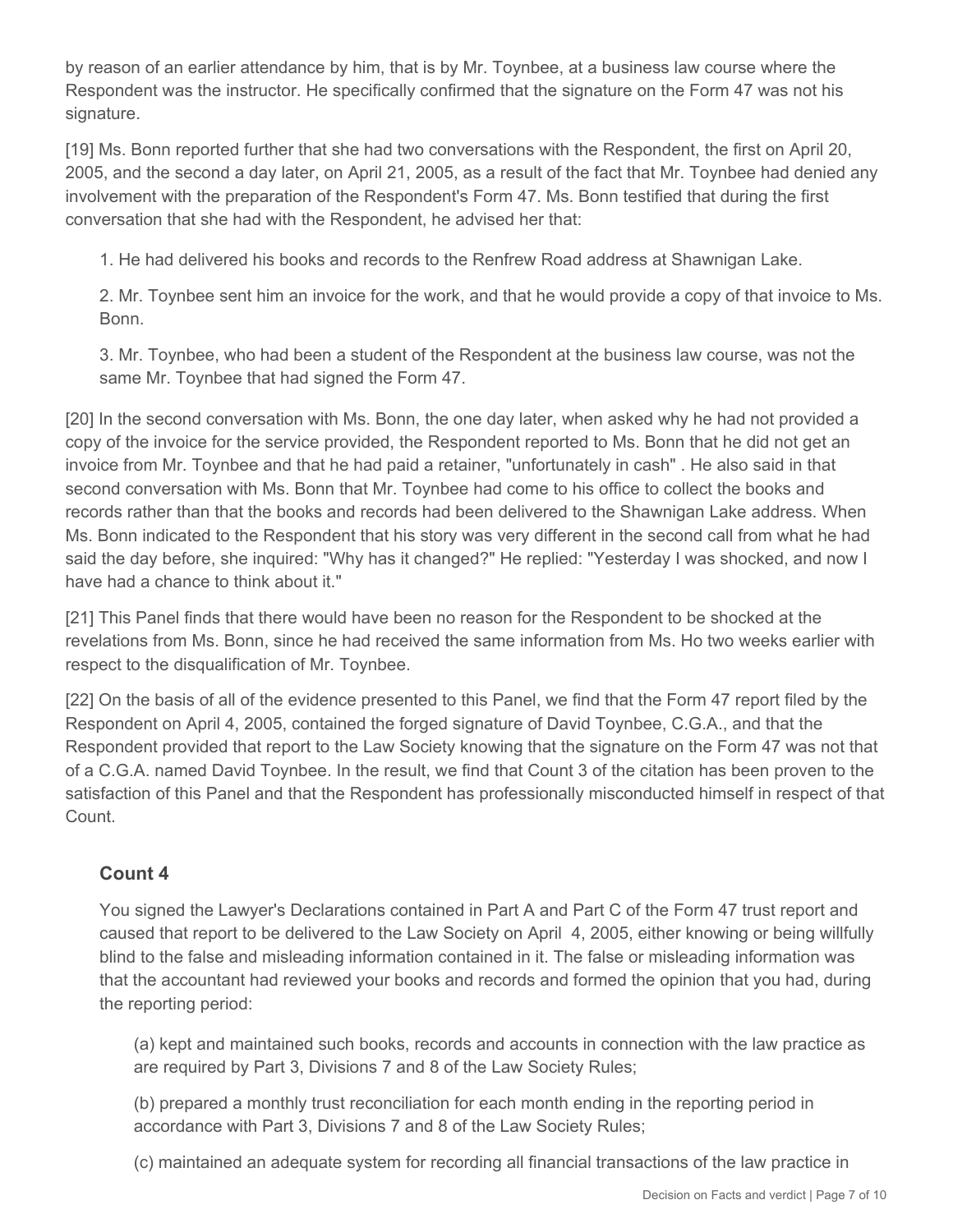by reason of an earlier attendance by him, that is by Mr. Toynbee, at a business law course where the Respondent was the instructor. He specifically confirmed that the signature on the Form 47 was not his signature.

[19] Ms. Bonn reported further that she had two conversations with the Respondent, the first on April 20, 2005, and the second a day later, on April 21, 2005, as a result of the fact that Mr. Toynbee had denied any involvement with the preparation of the Respondent's Form 47. Ms. Bonn testified that during the first conversation that she had with the Respondent, he advised her that:

1. He had delivered his books and records to the Renfrew Road address at Shawnigan Lake.

2. Mr. Toynbee sent him an invoice for the work, and that he would provide a copy of that invoice to Ms. Bonn.

3. Mr. Toynbee, who had been a student of the Respondent at the business law course, was not the same Mr. Toynbee that had signed the Form 47.

[20] In the second conversation with Ms. Bonn, the one day later, when asked why he had not provided a copy of the invoice for the service provided, the Respondent reported to Ms. Bonn that he did not get an invoice from Mr. Toynbee and that he had paid a retainer, "unfortunately in cash" . He also said in that second conversation with Ms. Bonn that Mr. Toynbee had come to his office to collect the books and records rather than that the books and records had been delivered to the Shawnigan Lake address. When Ms. Bonn indicated to the Respondent that his story was very different in the second call from what he had said the day before, she inquired: "Why has it changed?" He replied: "Yesterday I was shocked, and now I have had a chance to think about it."

[21] This Panel finds that there would have been no reason for the Respondent to be shocked at the revelations from Ms. Bonn, since he had received the same information from Ms. Ho two weeks earlier with respect to the disqualification of Mr. Toynbee.

[22] On the basis of all of the evidence presented to this Panel, we find that the Form 47 report filed by the Respondent on April 4, 2005, contained the forged signature of David Toynbee, C.G.A., and that the Respondent provided that report to the Law Society knowing that the signature on the Form 47 was not that of a C.G.A. named David Toynbee. In the result, we find that Count 3 of the citation has been proven to the satisfaction of this Panel and that the Respondent has professionally misconducted himself in respect of that Count.

## **Count 4**

You signed the Lawyer's Declarations contained in Part A and Part C of the Form 47 trust report and caused that report to be delivered to the Law Society on April 4, 2005, either knowing or being willfully blind to the false and misleading information contained in it. The false or misleading information was that the accountant had reviewed your books and records and formed the opinion that you had, during the reporting period:

(a) kept and maintained such books, records and accounts in connection with the law practice as are required by Part 3, Divisions 7 and 8 of the Law Society Rules;

(b) prepared a monthly trust reconciliation for each month ending in the reporting period in accordance with Part 3, Divisions 7 and 8 of the Law Society Rules;

(c) maintained an adequate system for recording all financial transactions of the law practice in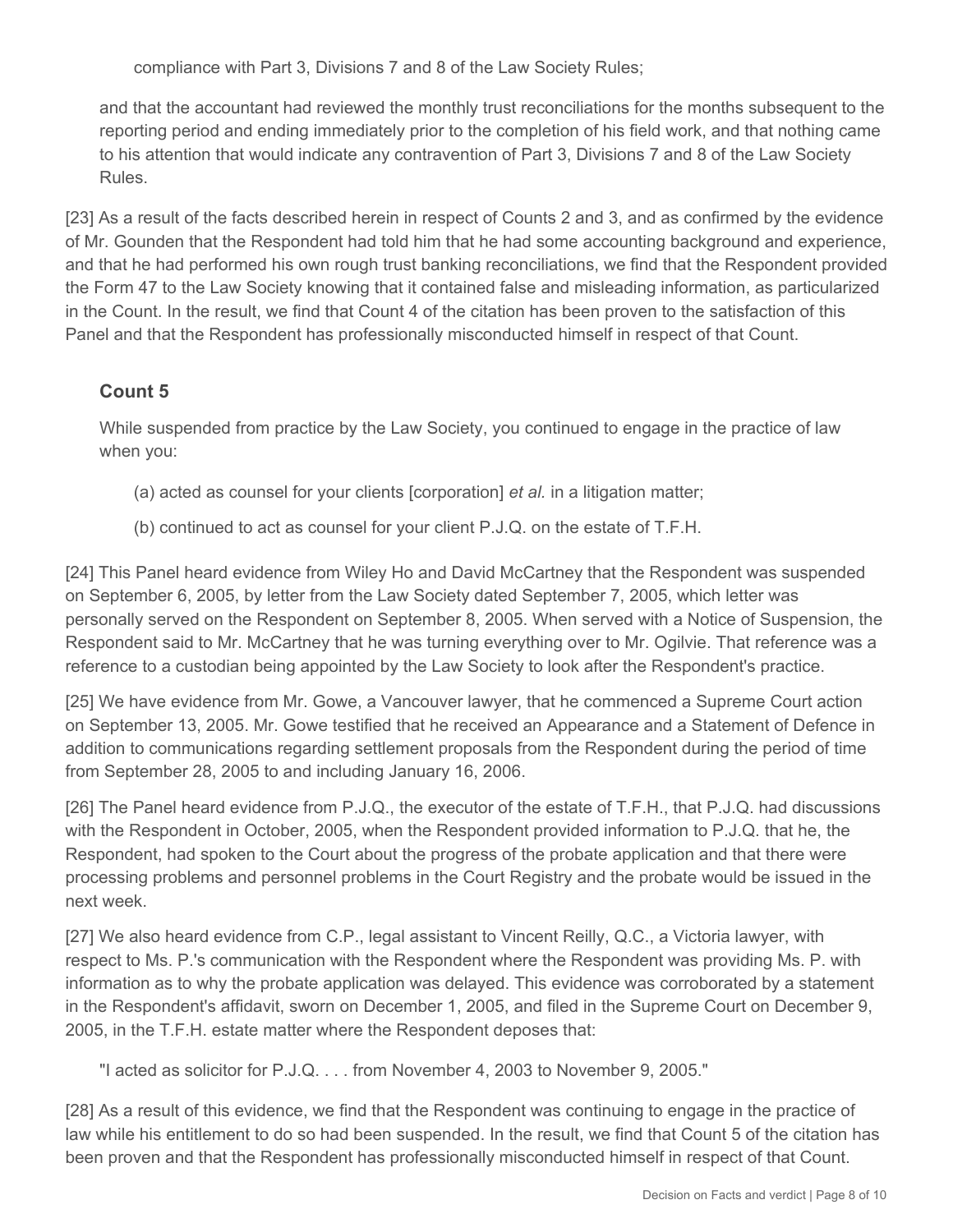compliance with Part 3, Divisions 7 and 8 of the Law Society Rules;

and that the accountant had reviewed the monthly trust reconciliations for the months subsequent to the reporting period and ending immediately prior to the completion of his field work, and that nothing came to his attention that would indicate any contravention of Part 3, Divisions 7 and 8 of the Law Society Rules.

[23] As a result of the facts described herein in respect of Counts 2 and 3, and as confirmed by the evidence of Mr. Gounden that the Respondent had told him that he had some accounting background and experience, and that he had performed his own rough trust banking reconciliations, we find that the Respondent provided the Form 47 to the Law Society knowing that it contained false and misleading information, as particularized in the Count. In the result, we find that Count 4 of the citation has been proven to the satisfaction of this Panel and that the Respondent has professionally misconducted himself in respect of that Count.

# **Count 5**

While suspended from practice by the Law Society, you continued to engage in the practice of law when you:

- (a) acted as counsel for your clients [corporation] *et al.* in a litigation matter;
- (b) continued to act as counsel for your client P.J.Q. on the estate of T.F.H.

[24] This Panel heard evidence from Wiley Ho and David McCartney that the Respondent was suspended on September 6, 2005, by letter from the Law Society dated September 7, 2005, which letter was personally served on the Respondent on September 8, 2005. When served with a Notice of Suspension, the Respondent said to Mr. McCartney that he was turning everything over to Mr. Ogilvie. That reference was a reference to a custodian being appointed by the Law Society to look after the Respondent's practice.

[25] We have evidence from Mr. Gowe, a Vancouver lawyer, that he commenced a Supreme Court action on September 13, 2005. Mr. Gowe testified that he received an Appearance and a Statement of Defence in addition to communications regarding settlement proposals from the Respondent during the period of time from September 28, 2005 to and including January 16, 2006.

[26] The Panel heard evidence from P.J.Q., the executor of the estate of T.F.H., that P.J.Q. had discussions with the Respondent in October, 2005, when the Respondent provided information to P.J.Q. that he, the Respondent, had spoken to the Court about the progress of the probate application and that there were processing problems and personnel problems in the Court Registry and the probate would be issued in the next week.

[27] We also heard evidence from C.P., legal assistant to Vincent Reilly, Q.C., a Victoria lawyer, with respect to Ms. P.'s communication with the Respondent where the Respondent was providing Ms. P. with information as to why the probate application was delayed. This evidence was corroborated by a statement in the Respondent's affidavit, sworn on December 1, 2005, and filed in the Supreme Court on December 9, 2005, in the T.F.H. estate matter where the Respondent deposes that:

"I acted as solicitor for P.J.Q. . . . from November 4, 2003 to November 9, 2005."

[28] As a result of this evidence, we find that the Respondent was continuing to engage in the practice of law while his entitlement to do so had been suspended. In the result, we find that Count 5 of the citation has been proven and that the Respondent has professionally misconducted himself in respect of that Count.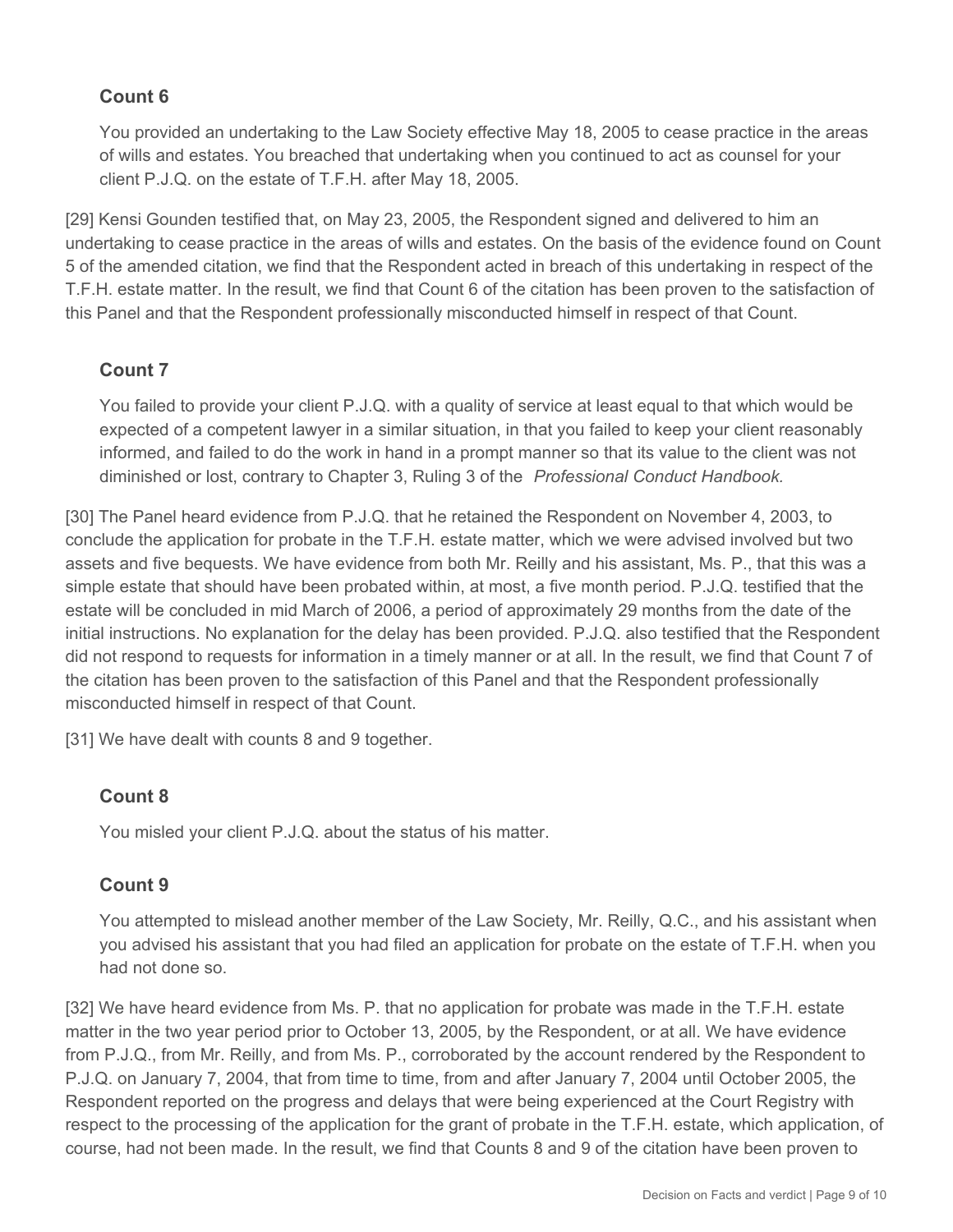## **Count 6**

You provided an undertaking to the Law Society effective May 18, 2005 to cease practice in the areas of wills and estates. You breached that undertaking when you continued to act as counsel for your client P.J.Q. on the estate of T.F.H. after May 18, 2005.

[29] Kensi Gounden testified that, on May 23, 2005, the Respondent signed and delivered to him an undertaking to cease practice in the areas of wills and estates. On the basis of the evidence found on Count 5 of the amended citation, we find that the Respondent acted in breach of this undertaking in respect of the T.F.H. estate matter. In the result, we find that Count 6 of the citation has been proven to the satisfaction of this Panel and that the Respondent professionally misconducted himself in respect of that Count.

## **Count 7**

You failed to provide your client P.J.Q. with a quality of service at least equal to that which would be expected of a competent lawyer in a similar situation, in that you failed to keep your client reasonably informed, and failed to do the work in hand in a prompt manner so that its value to the client was not diminished or lost, contrary to Chapter 3, Ruling 3 of the *Professional Conduct Handbook.*

[30] The Panel heard evidence from P.J.Q. that he retained the Respondent on November 4, 2003, to conclude the application for probate in the T.F.H. estate matter, which we were advised involved but two assets and five bequests. We have evidence from both Mr. Reilly and his assistant, Ms. P., that this was a simple estate that should have been probated within, at most, a five month period. P.J.Q. testified that the estate will be concluded in mid March of 2006, a period of approximately 29 months from the date of the initial instructions. No explanation for the delay has been provided. P.J.Q. also testified that the Respondent did not respond to requests for information in a timely manner or at all. In the result, we find that Count 7 of the citation has been proven to the satisfaction of this Panel and that the Respondent professionally misconducted himself in respect of that Count.

[31] We have dealt with counts 8 and 9 together.

## **Count 8**

You misled your client P.J.Q. about the status of his matter.

## **Count 9**

You attempted to mislead another member of the Law Society, Mr. Reilly, Q.C., and his assistant when you advised his assistant that you had filed an application for probate on the estate of T.F.H. when you had not done so.

[32] We have heard evidence from Ms. P. that no application for probate was made in the T.F.H. estate matter in the two year period prior to October 13, 2005, by the Respondent, or at all. We have evidence from P.J.Q., from Mr. Reilly, and from Ms. P., corroborated by the account rendered by the Respondent to P.J.Q. on January 7, 2004, that from time to time, from and after January 7, 2004 until October 2005, the Respondent reported on the progress and delays that were being experienced at the Court Registry with respect to the processing of the application for the grant of probate in the T.F.H. estate, which application, of course, had not been made. In the result, we find that Counts 8 and 9 of the citation have been proven to